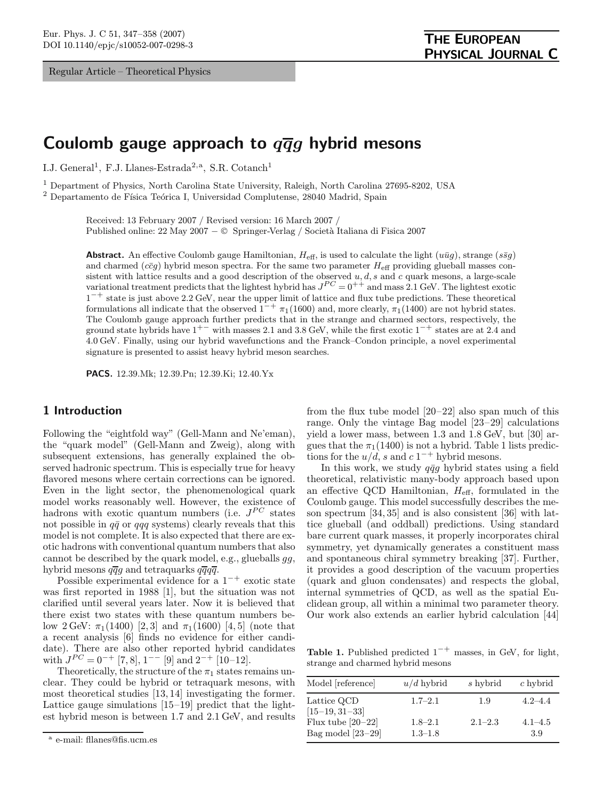Regular Article – Theoretical Physics

# Coulomb gauge approach to  $q\overline{q}g$  hybrid mesons

I.J. General<sup>1</sup>, F.J. Llanes-Estrada<sup>2,a</sup>, S.R. Cotanch<sup>1</sup>

<sup>1</sup> Department of Physics, North Carolina State University, Raleigh, North Carolina 27695-8202, USA  $2$  Departamento de Física Teórica I, Universidad Complutense, 28040 Madrid, Spain

> Received: 13 February 2007 / Revised version: 16 March 2007 / Published online: 22 May 2007 − © Springer-Verlag / Società Italiana di Fisica 2007

**Abstract.** An effective Coulomb gauge Hamiltonian,  $H_{\text{eff}}$ , is used to calculate the light  $(u\bar{u}q)$ , strange  $(s\bar{s}q)$ and charmed  $(c\bar{c}q)$  hybrid meson spectra. For the same two parameter  $H_{\text{eff}}$  providing glueball masses consistent with lattice results and a good description of the observed  $u, d, s$  and c quark mesons, a large-scale variational treatment predicts that the lightest hybrid has  $J^{PC} = 0^{++}$  and mass 2.1 GeV. The lightest exotic  $1^{-+}$  state is just above 2.2 GeV, near the upper limit of lattice and flux tube predictions. These theoretical formulations all indicate that the observed  $1^{-+}$   $\pi_1(1600)$  and, more clearly,  $\pi_1(1400)$  are not hybrid states. The Coulomb gauge approach further predicts that in the strange and charmed sectors, respectively, the ground state hybrids have  $1^{+-}$  with masses 2.1 and 3.8 GeV, while the first exotic  $1^{-+}$  states are at 2.4 and 4.0 GeV. Finally, using our hybrid wavefunctions and the Franck–Condon principle, a novel experimental signature is presented to assist heavy hybrid meson searches.

PACS. 12.39.Mk; 12.39.Pn; 12.39.Ki; 12.40.Yx

# 1 Introduction

Following the "eightfold way" (Gell-Mann and Ne'eman), the "quark model" (Gell-Mann and Zweig), along with subsequent extensions, has generally explained the observed hadronic spectrum. This is especially true for heavy flavored mesons where certain corrections can be ignored. Even in the light sector, the phenomenological quark model works reasonably well. However, the existence of hadrons with exotic quantum numbers (i.e.  $J^{PC}$  states not possible in  $q\bar{q}$  or  $qqq$  systems) clearly reveals that this model is not complete. It is also expected that there are exotic hadrons with conventional quantum numbers that also cannot be described by the quark model, e.g., glueballs gg, hybrid mesons  $q\overline{q}q$  and tetraquarks  $q\overline{q}q\overline{q}$ .

Possible experimental evidence for a  $1^{-+}$  exotic state was first reported in 1988 [1], but the situation was not clarified until several years later. Now it is believed that there exist two states with these quantum numbers below 2 GeV:  $\pi_1(1400)$  [2,3] and  $\pi_1(1600)$  [4,5] (note that a recent analysis [6] finds no evidence for either candidate). There are also other reported hybrid candidates with  $J^{PC} = 0^{-+}$  [7, 8],  $1^{--}$  [9] and  $2^{-+}$  [10–12].

Theoretically, the structure of the  $\pi_1$  states remains unclear. They could be hybrid or tetraquark mesons, with most theoretical studies [13, 14] investigating the former. Lattice gauge simulations [15–19] predict that the lightest hybrid meson is between 1.7 and 2.1 GeV, and results

from the flux tube model [20–22] also span much of this range. Only the vintage Bag model [23–29] calculations yield a lower mass, between 1.3 and 1.8 GeV, but [30] argues that the  $\pi_1(1400)$  is not a hybrid. Table 1 lists predictions for the  $u/d$ , s and  $c$  1<sup>-+</sup> hybrid mesons.

In this work, we study  $q\bar{q}q$  hybrid states using a field theoretical, relativistic many-body approach based upon an effective QCD Hamiltonian,  $H_{\text{eff}}$ , formulated in the Coulomb gauge. This model successfully describes the meson spectrum [34, 35] and is also consistent [36] with lattice glueball (and oddball) predictions. Using standard bare current quark masses, it properly incorporates chiral symmetry, yet dynamically generates a constituent mass and spontaneous chiral symmetry breaking [37]. Further, it provides a good description of the vacuum properties (quark and gluon condensates) and respects the global, internal symmetries of QCD, as well as the spatial Euclidean group, all within a minimal two parameter theory. Our work also extends an earlier hybrid calculation [44]

Table 1. Published predicted  $1^{-+}$  masses, in GeV, for light, strange and charmed hybrid mesons

| Model [reference]                        | $u/d$ hybrid               | s hybrid    | c hybrid           |
|------------------------------------------|----------------------------|-------------|--------------------|
| Lattice QCD<br>$[15-19, 31-33]$          | $1.7 - 2.1$                | 1.9         | $4.2 - 4.4$        |
| Flux tube $[20-22]$<br>Bag model [23-29] | $1.8 - 2.1$<br>$1.3 - 1.8$ | $2.1 - 2.3$ | $4.1 - 4.5$<br>3.9 |

<sup>a</sup> e-mail: fllanes@fis.ucm.es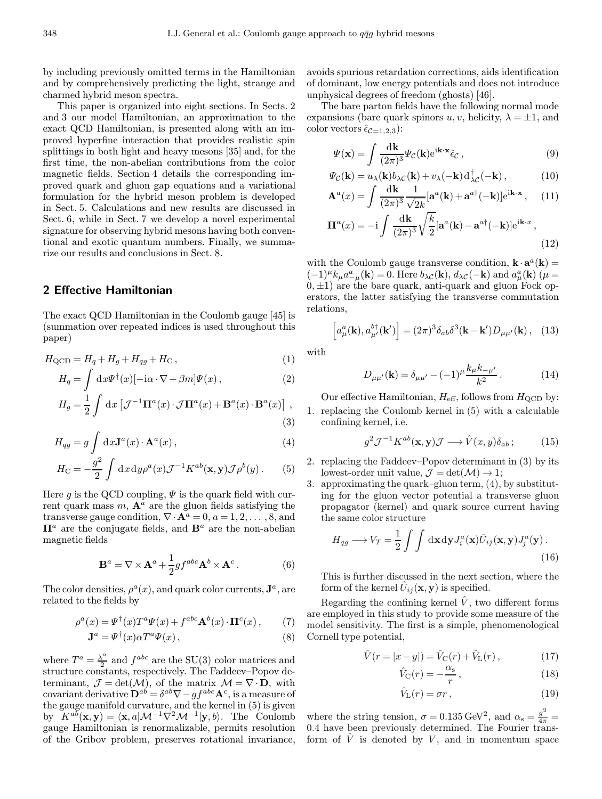by including previously omitted terms in the Hamiltonian and by comprehensively predicting the light, strange and charmed hybrid meson spectra.

This paper is organized into eight sections. In Sects. 2 and 3 our model Hamiltonian, an approximation to the exact QCD Hamiltonian, is presented along with an improved hyperfine interaction that provides realistic spin splittings in both light and heavy mesons [35] and, for the first time, the non-abelian contributions from the color magnetic fields. Section 4 details the corresponding improved quark and gluon gap equations and a variational formulation for the hybrid meson problem is developed in Sect. 5. Calculations and new results are discussed in Sect. 6, while in Sect. 7 we develop a novel experimental signature for observing hybrid mesons having both conventional and exotic quantum numbers. Finally, we summarize our results and conclusions in Sect. 8.

# 2 Effective Hamiltonian

The exact QCD Hamiltonian in the Coulomb gauge [45] is (summation over repeated indices is used throughout this paper)

$$
H_{\rm QCD} = H_q + H_g + H_{qg} + H_{\rm C},\tag{1}
$$

$$
H_q = \int \mathrm{d}x \Psi^{\dagger}(x) [-i\alpha \cdot \nabla + \beta m] \Psi(x) , \qquad (2)
$$

$$
H_g = \frac{1}{2} \int \mathrm{d}x \left[ \mathcal{J}^{-1} \mathbf{\Pi}^a(x) \cdot \mathcal{J} \mathbf{\Pi}^a(x) + \mathbf{B}^a(x) \cdot \mathbf{B}^a(x) \right],\tag{3}
$$

$$
H_{qg} = g \int \mathrm{d}x \mathbf{J}^{a}(x) \cdot \mathbf{A}^{a}(x) , \qquad (4)
$$

$$
H_{\mathcal{C}} = -\frac{g^2}{2} \int \mathrm{d}x \, \mathrm{d}y \rho^a(x) \mathcal{J}^{-1} K^{ab}(\mathbf{x}, \mathbf{y}) \mathcal{J} \rho^b(y) \,. \tag{5}
$$

Here g is the QCD coupling,  $\Psi$  is the quark field with current quark mass  $m$ ,  $\mathbf{A}^a$  are the gluon fields satisfying the transverse gauge condition,  $\nabla \cdot \mathbf{A}^a = 0, a = 1, 2, \dots, 8$ , and  $\Pi^a$  are the conjugate fields, and  $\mathbf{B}^a$  are the non-abelian magnetic fields

$$
\mathbf{B}^{a} = \nabla \times \mathbf{A}^{a} + \frac{1}{2}gf^{abc}\mathbf{A}^{b} \times \mathbf{A}^{c}.
$$
 (6)

The color densities,  $\rho^{a}(x)$ , and quark color currents,  $\mathbf{J}^{a}$ , are related to the fields by

$$
\rho^{a}(x) = \Psi^{\dagger}(x) T^{a} \Psi(x) + f^{abc} \mathbf{A}^{b}(x) \cdot \mathbf{\Pi}^{c}(x) , \qquad (7)
$$

$$
\mathbf{J}^a = \Psi^\dagger(x)\alpha T^a \Psi(x) \,,\tag{8}
$$

where  $T^a = \frac{\lambda^a}{2}$  and  $f^{abc}$  are the SU(3) color matrices and structure constants, respectively. The Faddeev–Popov determinant,  $\mathcal{J} = det(\mathcal{M})$ , of the matrix  $\mathcal{M} = \nabla \cdot \mathbf{D}$ , with covariant derivative  $\mathbf{D}^{ab} = \delta^{ab} \nabla - g f^{abc} \mathbf{A}^c$ , is a measure of the gauge manifold curvature, and the kernel in (5) is given  $\text{by}\quad K^{ab}(\mathbf{x},\mathbf{y})=\langle \mathbf{x},a|\mathcal{M}^{-1}\nabla^2\mathcal{M}^{-1}|\mathbf{y},b\rangle. \;\;\text{The}\;\;\text{Coulomb}$ gauge Hamiltonian is renormalizable, permits resolution of the Gribov problem, preserves rotational invariance,

avoids spurious retardation corrections, aids identification of dominant, low energy potentials and does not introduce unphysical degrees of freedom (ghosts) [46].

The bare parton fields have the following normal mode expansions (bare quark spinors u, v, helicity,  $\lambda = \pm 1$ , and color vectors  $\hat{\epsilon}_{\mathcal{C}=1,2,3}$ :

$$
\Psi(\mathbf{x}) = \int \frac{\mathrm{d}\mathbf{k}}{(2\pi)^3} \Psi_C(\mathbf{k}) e^{i\mathbf{k}\cdot\mathbf{x}} \hat{\epsilon}_C , \qquad (9)
$$

$$
\Psi_{\mathcal{C}}(\mathbf{k}) = u_{\lambda}(\mathbf{k})b_{\lambda\mathcal{C}}(\mathbf{k}) + v_{\lambda}(-\mathbf{k})d_{\lambda\mathcal{C}}^{\dagger}(-\mathbf{k}), \qquad (10)
$$

$$
\mathbf{A}^{a}(x) = \int \frac{\mathrm{d}\mathbf{k}}{(2\pi)^{3}} \frac{1}{\sqrt{2k}} [\mathbf{a}^{a}(\mathbf{k}) + \mathbf{a}^{a\dagger}(-\mathbf{k})] e^{i\mathbf{k} \cdot \mathbf{x}}, \quad (11)
$$

$$
\mathbf{\Pi}^{a}(x) = -\mathrm{i} \int \frac{\mathrm{d}\mathbf{k}}{(2\pi)^{3}} \sqrt{\frac{k}{2}} [\mathbf{a}^{a}(\mathbf{k}) - \mathbf{a}^{a\dagger}(-\mathbf{k})] e^{\mathrm{i}\mathbf{k}\cdot x},\tag{12}
$$

with the Coulomb gauge transverse condition,  $\mathbf{k} \cdot \mathbf{a}^a(\mathbf{k}) =$  $(-1)^{\mu}k_{\mu}a_{-\mu}^{a}(\mathbf{k})=0.$  Here  $b_{\lambda\mathcal{C}}(\mathbf{k}), d_{\lambda\mathcal{C}}(-\mathbf{k})$  and  $a_{\mu}^{a}(\mathbf{k})$   $(\mu=$  $(0, \pm 1)$  are the bare quark, anti-quark and gluon Fock operators, the latter satisfying the transverse commutation relations,

$$
\left[a_{\mu}^{a}(\mathbf{k}), a_{\mu'}^{b\dagger}(\mathbf{k'})\right] = (2\pi)^{3} \delta_{ab} \delta^{3}(\mathbf{k} - \mathbf{k'}) D_{\mu\mu'}(\mathbf{k}), \quad (13)
$$

with

$$
D_{\mu\mu'}(\mathbf{k}) = \delta_{\mu\mu'} - (-1)^{\mu} \frac{k_{\mu}k_{-\mu'}}{k^2}.
$$
 (14)

Our effective Hamiltonian,  $H_{\text{eff}}$ , follows from  $H_{\text{QCD}}$  by:

1. replacing the Coulomb kernel in (5) with a calculable confining kernel, i.e.

$$
g^2 \mathcal{J}^{-1} K^{ab}(\mathbf{x}, \mathbf{y}) \mathcal{J} \longrightarrow \hat{V}(x, y) \delta_{ab} ; \tag{15}
$$

- 2. replacing the Faddeev–Popov determinant in (3) by its lowest-order unit value,  $\mathcal{J} = det(\mathcal{M}) \rightarrow 1$ ;
- 3. approximating the quark–gluon term, (4), by substituting for the gluon vector potential a transverse gluon propagator (kernel) and quark source current having the same color structure

$$
H_{qg} \longrightarrow V_T = \frac{1}{2} \int \int d\mathbf{x} d\mathbf{y} J_i^a(\mathbf{x}) \hat{U}_{ij}(\mathbf{x}, \mathbf{y}) J_j^a(\mathbf{y}).
$$
\n(16)

This is further discussed in the next section, where the form of the kernel  $\hat{U}_{ij}(\mathbf{x}, \mathbf{y})$  is specified.

Regarding the confining kernel  $\hat{V}$ , two different forms are employed in this study to provide some measure of the model sensitivity. The first is a simple, phenomenological Cornell type potential,

$$
\hat{V}(r = |x - y|) = \hat{V}_{\text{C}}(r) + \hat{V}_{\text{L}}(r) ,\qquad (17)
$$

$$
\hat{V}_{\rm C}(r) = -\frac{\alpha_{\rm s}}{r},\qquad(18)
$$

$$
\hat{V}_{\mathcal{L}}(r) = \sigma r \,, \tag{19}
$$

where the string tension,  $\sigma = 0.135 \,\text{GeV}^2$ , and  $\alpha_s = \frac{g^2}{4\pi} =$ 0.4 have been previously determined. The Fourier transform of  $\hat{V}$  is denoted by V, and in momentum space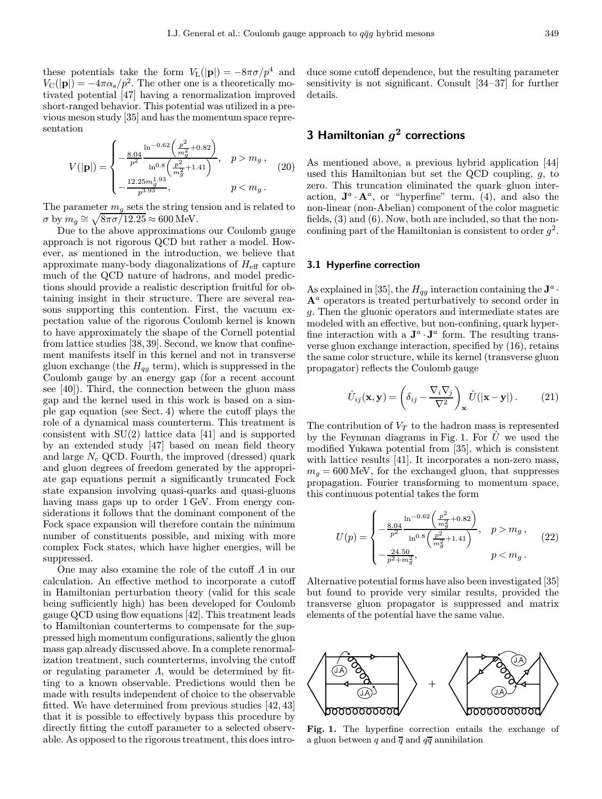these potentials take the form  $V_L(|{\bf p}|) = -8\pi\sigma/p^4$  and  $V_{\rm C}(|{\bf p}|) = -4\pi\alpha_{\rm s}/p^2$ . The other one is a theoretically motivated potential [47] having a renormalization improved short-ranged behavior. This potential was utilized in a previous meson study [35] and has the momentum space representation

$$
V(|\mathbf{p}|) = \begin{cases} -\frac{8.04}{p^2} \frac{\ln^{-0.62} \left(\frac{p^2}{m_g^2} + 0.82\right)}{\ln^{0.8} \left(\frac{p^2}{m_g^2} + 1.41\right)}, & p > m_g, \\ -\frac{12.25 m_g^{1.93}}{p^{3.93}}, & p < m_g. \end{cases}
$$
 (20)

The parameter  $m<sub>g</sub>$  sets the string tension and is related to  $\sigma$  by  $m_q \approx \sqrt{8\pi\sigma/12.25} \approx 600$  MeV.

Due to the above approximations our Coulomb gauge approach is not rigorous QCD but rather a model. However, as mentioned in the introduction, we believe that approximate many-body diagonalizations of  $H_{\text{eff}}$  capture much of the QCD nature of hadrons, and model predictions should provide a realistic description fruitful for obtaining insight in their structure. There are several reasons supporting this contention. First, the vacuum expectation value of the rigorous Coulomb kernel is known to have approximately the shape of the Cornell potential from lattice studies [38, 39]. Second, we know that confinement manifests itself in this kernel and not in transverse gluon exchange (the  $H_{qg}$  term), which is suppressed in the Coulomb gauge by an energy gap (for a recent account see [40]). Third, the connection between the gluon mass gap and the kernel used in this work is based on a simple gap equation (see Sect. 4) where the cutoff plays the role of a dynamical mass counterterm. This treatment is consistent with SU(2) lattice data [41] and is supported by an extended study [47] based on mean field theory and large  $N_c$  QCD. Fourth, the improved (dressed) quark and gluon degrees of freedom generated by the appropriate gap equations permit a significantly truncated Fock state expansion involving quasi-quarks and quasi-gluons having mass gaps up to order 1 GeV. From energy considerations it follows that the dominant component of the Fock space expansion will therefore contain the minimum number of constituents possible, and mixing with more complex Fock states, which have higher energies, will be suppressed.

One may also examine the role of the cutoff Λ in our calculation. An effective method to incorporate a cutoff in Hamiltonian perturbation theory (valid for this scale being sufficiently high) has been developed for Coulomb gauge QCD using flow equations [42]. This treatment leads to Hamiltonian counterterms to compensate for the suppressed high momentum configurations, saliently the gluon mass gap already discussed above. In a complete renormalization treatment, such counterterms, involving the cutoff or regulating parameter  $\Lambda$ , would be determined by fitting to a known observable. Predictions would then be made with results independent of choice to the observable fitted. We have determined from previous studies [42, 43] that it is possible to effectively bypass this procedure by directly fitting the cutoff parameter to a selected observable. As opposed to the rigorous treatment, this does intro-

duce some cutoff dependence, but the resulting parameter sensitivity is not significant. Consult [34–37] for further details.

# 3 Hamiltonian  $g^2$  corrections

As mentioned above, a previous hybrid application [44] used this Hamiltonian but set the QCD coupling,  $g$ , to zero. This truncation eliminated the quark–gluon interaction,  $\mathbf{J}^a \cdot \mathbf{A}^a$ , or "hyperfine" term, (4), and also the non-linear (non-Abelian) component of the color magnetic fields, (3) and (6). Now, both are included, so that the nonconfining part of the Hamiltonian is consistent to order  $g^2$ .

### 3.1 Hyperfine correction

As explained in [35], the  $H_{qq}$  interaction containing the  $\mathbf{J}^a$ .  ${\bf A}^a$  operators is treated perturbatively to second order in g. Then the gluonic operators and intermediate states are modeled with an effective, but non-confining, quark hyperfine interaction with a  $\mathbf{J}^a \cdot \mathbf{J}^a$  form. The resulting transverse gluon exchange interaction, specified by (16), retains the same color structure, while its kernel (transverse gluon propagator) reflects the Coulomb gauge

$$
\hat{U}_{ij}(\mathbf{x}, \mathbf{y}) = \left(\delta_{ij} - \frac{\nabla_i \nabla_j}{\nabla^2}\right)_{\mathbf{x}} \hat{U}(|\mathbf{x} - \mathbf{y}|) \,. \tag{21}
$$

The contribution of  $V_T$  to the hadron mass is represented by the Feynman diagrams in Fig. 1. For  $\hat{U}$  we used the modified Yukawa potential from [35], which is consistent with lattice results [41]. It incorporates a non-zero mass,  $m_g = 600$  MeV, for the exchanged gluon, that suppresses propagation. Fourier transforming to momentum space, this continuous potential takes the form

$$
U(p) = \begin{cases} -\frac{8.04}{p^2} \frac{\ln^{-0.62} \left(\frac{p^2}{m_g^2} + 0.82\right)}{\ln^{0.8} \left(\frac{p^2}{m_g^2} + 1.41\right)}, & p > m_g, \\ -\frac{24.50}{p^2 + m_g^2}, & p < m_g. \end{cases}
$$
 (22)

Alternative potential forms have also been investigated [35] but found to provide very similar results, provided the transverse gluon propagator is suppressed and matrix elements of the potential have the same value.



Fig. 1. The hyperfine correction entails the exchange of a gluon between q and  $\overline{q}$  and  $q\overline{q}$  annihilation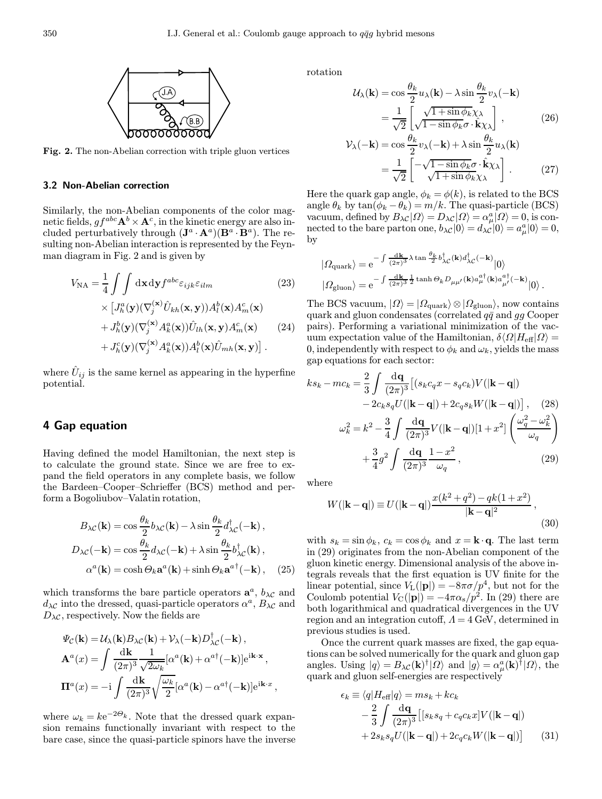

Fig. 2. The non-Abelian correction with triple gluon vertices

#### 3.2 Non-Abelian correction

Similarly, the non-Abelian components of the color magnetic fields,  $gf^{abc} \mathbf{A}^b \times \mathbf{A}^c$ , in the kinetic energy are also included perturbatively through  $(\mathbf{J}^a \cdot \mathbf{A}^a)(\mathbf{B}^a \cdot \mathbf{B}^a)$ . The resulting non-Abelian interaction is represented by the Feynman diagram in Fig. 2 and is given by

$$
V_{\rm NA} = \frac{1}{4} \int \int d\mathbf{x} d\mathbf{y} f^{abc} \varepsilon_{ijk} \varepsilon_{ilm} \qquad (23)
$$
  
 
$$
\times \left[ J_h^a(\mathbf{y}) (\nabla_j^{(\mathbf{x})} \hat{U}_{kh}(\mathbf{x}, \mathbf{y})) A_l^b(\mathbf{x}) A_m^c(\mathbf{x}) \right. \\ \left. + J_h^b(\mathbf{y}) (\nabla_j^{(\mathbf{x})} A_k^a(\mathbf{x})) \hat{U}_{lh}(\mathbf{x}, \mathbf{y}) A_m^c(\mathbf{x}) \right. \qquad (24)
$$
  
+ 
$$
J_h^c(\mathbf{y}) (\nabla_j^{(\mathbf{x})} A_k^a(\mathbf{x})) A_l^b(\mathbf{x}) \hat{U}_{mh}(\mathbf{x}, \mathbf{y}) \right].
$$

where  $\dot U_{ij}$  is the same kernel as appearing in the hyperfine potential.

# 4 Gap equation

Having defined the model Hamiltonian, the next step is to calculate the ground state. Since we are free to expand the field operators in any complete basis, we follow the Bardeen–Cooper–Schrieffer (BCS) method and perform a Bogoliubov–Valatin rotation,

$$
B_{\lambda C}(\mathbf{k}) = \cos\frac{\theta_k}{2} b_{\lambda C}(\mathbf{k}) - \lambda \sin\frac{\theta_k}{2} d_{\lambda C}^{\dagger}(-\mathbf{k}),
$$
  
\n
$$
D_{\lambda C}(-\mathbf{k}) = \cos\frac{\theta_k}{2} d_{\lambda C}(-\mathbf{k}) + \lambda \sin\frac{\theta_k}{2} b_{\lambda C}^{\dagger}(\mathbf{k}),
$$
  
\n
$$
\alpha^a(\mathbf{k}) = \cosh\Theta_k \mathbf{a}^a(\mathbf{k}) + \sinh\Theta_k \mathbf{a}^{a \dagger}(-\mathbf{k}),
$$
 (25)

which transforms the bare particle operators  $a^a$ ,  $b_{\lambda}c$  and  $d_{\lambda\mathcal{C}}$  into the dressed, quasi-particle operators  $\alpha^a$ ,  $B_{\lambda\mathcal{C}}$  and  $D_{\lambda\mathcal{C}}$ , respectively. Now the fields are

$$
\Psi_{\mathcal{C}}(\mathbf{k}) = \mathcal{U}_{\lambda}(\mathbf{k})B_{\lambda\mathcal{C}}(\mathbf{k}) + \mathcal{V}_{\lambda}(-\mathbf{k})D_{\lambda\mathcal{C}}^{\dagger}(-\mathbf{k}),
$$

$$
\mathbf{A}^{a}(x) = \int \frac{\mathrm{d}\mathbf{k}}{(2\pi)^{3}} \frac{1}{\sqrt{2\omega_{k}}} [\alpha^{a}(\mathbf{k}) + \alpha^{a\dagger}(-\mathbf{k})] e^{i\mathbf{k}\cdot\mathbf{x}},
$$

$$
\mathbf{\Pi}^{a}(x) = -i \int \frac{\mathrm{d}\mathbf{k}}{(2\pi)^{3}} \sqrt{\frac{\omega_{k}}{2}} [\alpha^{a}(\mathbf{k}) - \alpha^{a\dagger}(-\mathbf{k})] e^{i\mathbf{k}\cdot x},
$$

where  $\omega_k = k e^{-2\Theta_k}$ . Note that the dressed quark expansion remains functionally invariant with respect to the bare case, since the quasi-particle spinors have the inverse rotation

$$
\mathcal{U}_{\lambda}(\mathbf{k}) = \cos\frac{\theta_k}{2} u_{\lambda}(\mathbf{k}) - \lambda \sin\frac{\theta_k}{2} v_{\lambda}(-\mathbf{k})
$$

$$
= \frac{1}{\sqrt{2}} \begin{bmatrix} \sqrt{1 + \sin\phi_k} \chi_{\lambda} \\ \sqrt{1 - \sin\phi_k} \sigma \cdot \hat{\mathbf{k}} \chi_{\lambda} \end{bmatrix}, \qquad (26)
$$

$$
\mathcal{V}_{\lambda}(-\mathbf{k}) = \cos\frac{\theta_k}{2}v_{\lambda}(-\mathbf{k}) + \lambda\sin\frac{\theta_k}{2}u_{\lambda}(\mathbf{k})
$$

$$
= \frac{1}{\sqrt{2}} \left[ -\sqrt{1-\sin\phi_k}\sigma \cdot \hat{\mathbf{k}}\chi_{\lambda} \right].
$$
 (27)

Here the quark gap angle,  $\phi_k = \phi(k)$ , is related to the BCS angle  $\theta_k$  by  $\tan(\phi_k - \theta_k) = m/k$ . The quasi-particle (BCS) vacuum, defined by  $B_{\lambda\mathcal{C}}| \varOmega \rangle = D_{\lambda\mathcal{C}}| \varOmega \rangle = \alpha_\mu^a| \varOmega \rangle = 0$ , is connected to the bare parton one,  $b_{\lambda\mathcal{C}}|0\rangle = d_{\lambda\mathcal{C}}|0\rangle = a_{\mu}^a|0\rangle = 0,$ by

$$
\begin{split} &| \varOmega_{\rm quark} \rangle = {\rm e}^{-\int \frac{{\rm d} \mathbf{k}}{(2\pi)^3} \lambda \tan \frac{\theta_k}{2} b^\dagger_{\lambda \mathcal{C}} (\mathbf{k}) d^\dagger_{\lambda \mathcal{C}} (-\mathbf{k})} | 0 \rangle \\ &| \varOmega_{\rm gluon} \rangle = {\rm e}^{-\int \frac{{\rm d} \mathbf{k}}{(2\pi)^3} \frac{1}{2} \tanh \varTheta_k D_{\mu \mu'} (\mathbf{k}) a^{a\dagger}_{\mu} (\mathbf{k}) a^{a\dagger}_{\mu'} (-\mathbf{k})} | 0 \rangle \, . \end{split}
$$

The BCS vacuum,  $|\Omega\rangle = |\Omega_{\text{quark}}\rangle \otimes |\Omega_{\text{gluon}}\rangle$ , now contains quark and gluon condensates (correlated  $q\bar{q}$  and  $q\bar{q}$  Cooper pairs). Performing a variational minimization of the vacuum expectation value of the Hamiltonian,  $\delta \langle \Omega | H_{\text{eff}} | \Omega \rangle =$ 0, independently with respect to  $\phi_k$  and  $\omega_k$ , yields the mass gap equations for each sector:

$$
ks_k - mc_k = \frac{2}{3} \int \frac{d\mathbf{q}}{(2\pi)^3} \left[ (s_k c_q x - s_q c_k) V(|\mathbf{k} - \mathbf{q}|) - 2c_k s_q U(|\mathbf{k} - \mathbf{q}|) + 2c_q s_k W(|\mathbf{k} - \mathbf{q}|) \right], \quad (28)
$$

$$
\omega_k^2 = k^2 - \frac{3}{4} \int \frac{d\mathbf{q}}{(2\pi)^3} V(|\mathbf{k} - \mathbf{q}|) [1 + x^2] \left( \frac{\omega_q^2 - \omega_k^2}{\omega_q} \right)
$$

$$
+ \frac{3}{4} g^2 \int \frac{d\mathbf{q}}{(2\pi)^3} \frac{1 - x^2}{\omega_q}, \quad (29)
$$

where

$$
W(|\mathbf{k} - \mathbf{q}|) \equiv U(|\mathbf{k} - \mathbf{q}|) \frac{x(k^2 + q^2) - qk(1 + x^2)}{|\mathbf{k} - \mathbf{q}|^2},
$$
\n(30)

with  $s_k = \sin \phi_k$ ,  $c_k = \cos \phi_k$  and  $x = \mathbf{k} \cdot \mathbf{q}$ . The last term in (29) originates from the non-Abelian component of the gluon kinetic energy. Dimensional analysis of the above integrals reveals that the first equation is UV finite for the linear potential, since  $V_L(|{\bf p}|) = -8\pi\sigma/p^4$ , but not for the Coulomb potential  $V_{\rm C}(|{\bf p}|) = -4\pi\alpha_{\rm s}/p^2$ . In (29) there are both logarithmical and quadratical divergences in the UV region and an integration cutoff,  $\Lambda = 4$  GeV, determined in previous studies is used.

Once the current quark masses are fixed, the gap equations can be solved numerically for the quark and gluon gap angles. Using  $|q\rangle = B_{\lambda} C(\mathbf{k})^{\dagger} |\Omega\rangle$  and  $|g\rangle = \alpha_{\mu}^{a}(\mathbf{k})^{\dagger} |\Omega\rangle$ , the quark and gluon self-energies are respectively

$$
\epsilon_k \equiv \langle q|H_{\text{eff}}|q\rangle = ms_k + kc_k
$$
  
\n
$$
-\frac{2}{3} \int \frac{d\mathbf{q}}{(2\pi)^3} \left[ [s_k s_q + c_q c_k x] V(|\mathbf{k} - \mathbf{q}|) + 2s_k s_q U(|\mathbf{k} - \mathbf{q}|) + 2c_q c_k W(|\mathbf{k} - \mathbf{q}|) \right]
$$
(31)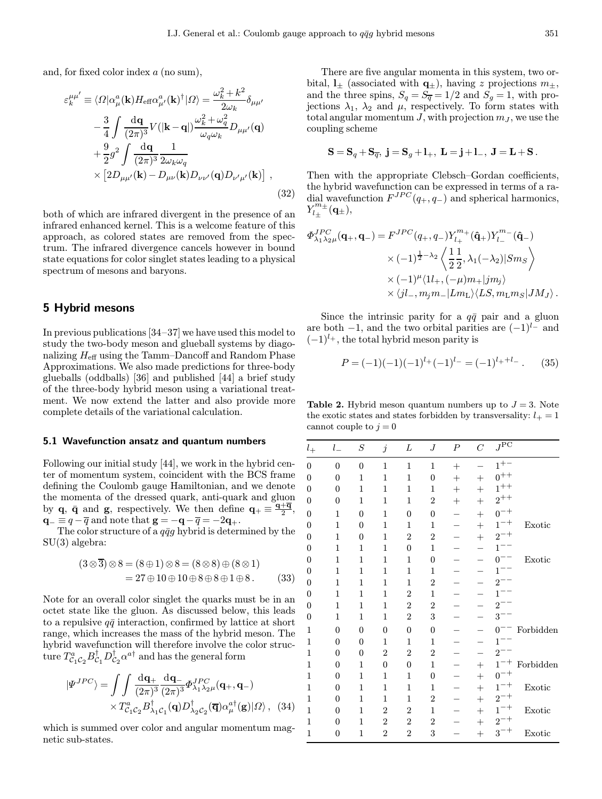and, for fixed color index a (no sum),

$$
\varepsilon_{k}^{\mu\mu'} \equiv \langle \Omega | \alpha_{\mu}^{a}(\mathbf{k}) H_{\text{eff}} \alpha_{\mu'}^{a}(\mathbf{k})^{\dagger} | \Omega \rangle = \frac{\omega_{k}^{2} + k^{2}}{2\omega_{k}} \delta_{\mu\mu'}
$$

$$
- \frac{3}{4} \int \frac{d\mathbf{q}}{(2\pi)^{3}} V(|\mathbf{k} - \mathbf{q}|) \frac{\omega_{k}^{2} + \omega_{q}^{2}}{\omega_{q}\omega_{k}} D_{\mu\mu'}(\mathbf{q})
$$

$$
+ \frac{9}{2} g^{2} \int \frac{d\mathbf{q}}{(2\pi)^{3}} \frac{1}{2\omega_{k}\omega_{q}}
$$

$$
\times \left[ 2D_{\mu\mu'}(\mathbf{k}) - D_{\mu\nu}(\mathbf{k}) D_{\nu\nu'}(\mathbf{q}) D_{\nu'\mu'}(\mathbf{k}) \right] , \qquad (32)
$$

both of which are infrared divergent in the presence of an infrared enhanced kernel. This is a welcome feature of this approach, as colored states are removed from the spectrum. The infrared divergence cancels however in bound state equations for color singlet states leading to a physical spectrum of mesons and baryons.

# 5 Hybrid mesons

In previous publications [34–37] we have used this model to study the two-body meson and glueball systems by diagonalizing  $H_{\text{eff}}$  using the Tamm–Dancoff and Random Phase Approximations. We also made predictions for three-body glueballs (oddballs) [36] and published [44] a brief study of the three-body hybrid meson using a variational treatment. We now extend the latter and also provide more complete details of the variational calculation.

### 5.1 Wavefunction ansatz and quantum numbers

Following our initial study [44], we work in the hybrid center of momentum system, coincident with the BCS frame defining the Coulomb gauge Hamiltonian, and we denote the momenta of the dressed quark, anti-quark and gluon by **q**, **q** and **g**, respectively. We then define  $q_+ \equiv \frac{q_+ q}{2}$ ,  $\mathbf{q}_- \equiv q - \overline{q}$  and note that  $\mathbf{g} = -\mathbf{q} - \overline{q} = -2\mathbf{q}_+.$ 

The color structure of a  $q\bar{q}q$  hybrid is determined by the SU(3) algebra:

$$
(3 \otimes \overline{3}) \otimes 8 = (8 \oplus 1) \otimes 8 = (8 \otimes 8) \oplus (8 \otimes 1)
$$
  
= 27 \oplus 10 \oplus 10 \oplus 8 \oplus 8 \oplus 1 \oplus 8. (33)

Note for an overall color singlet the quarks must be in an octet state like the gluon. As discussed below, this leads to a repulsive  $q\bar{q}$  interaction, confirmed by lattice at short range, which increases the mass of the hybrid meson. The hybrid wavefunction will therefore involve the color structure  $T_{\mathcal{C}_1\mathcal{C}_2}^a B_{\mathcal{C}_1}^\dagger D_{\mathcal{C}_2}^\dagger \alpha^{a\dagger}$  and has the general form

$$
|\Psi^{JPC}\rangle = \int \int \frac{\mathrm{d}\mathbf{q}_{+}}{(2\pi)^{3}} \frac{\mathrm{d}\mathbf{q}_{-}}{(2\pi)^{3}} \Phi_{\lambda_{1}\lambda_{2}\mu}^{JPC}(\mathbf{q}_{+}, \mathbf{q}_{-})
$$

$$
\times T_{\mathcal{C}_{1}\mathcal{C}_{2}}^{a} B_{\lambda_{1}\mathcal{C}_{1}}^{\dagger}(\mathbf{q}) D_{\lambda_{2}\mathcal{C}_{2}}^{\dagger}(\overline{\mathbf{q}}) \alpha_{\mu}^{a\dagger}(\mathbf{g}) | \Omega \rangle, \quad (34)
$$

which is summed over color and angular momentum magnetic sub-states.

There are five angular momenta in this system, two orbital,  $\mathbf{l}_{\pm}$  (associated with  $\mathbf{q}_{\pm}$ ), having z projections  $m_{\pm}$ , and the three spins,  $S_q = S_{\overline{q}} = 1/2$  and  $S_q = 1$ , with projections  $\lambda_1$ ,  $\lambda_2$  and  $\mu$ , respectively. To form states with total angular momentum  $J$ , with projection  $m<sub>J</sub>$ , we use the coupling scheme

$$
\mathbf{S} = \mathbf{S}_q + \mathbf{S}_{\overline{q}}, \ \mathbf{j} = \mathbf{S}_g + \mathbf{l}_+, \ \mathbf{L} = \mathbf{j} + \mathbf{l}_-, \ \mathbf{J} = \mathbf{L} + \mathbf{S} \, .
$$

Then with the appropriate Clebsch–Gordan coefficients, the hybrid wavefunction can be expressed in terms of a radial wavefunction  $F^{JPC}(q_+, q_-)$  and spherical harmonics,  $Y^{m_\pm}_{l_\pm}({\bf q}_\pm),$ 

$$
\begin{split} \varPhi^{JPC}_{\lambda_1 \lambda_2 \mu}(\mathbf{q}_+,\mathbf{q}_-) &= F^{JPC}(q_+,q_-) Y^{m+}_{l_+}(\mathbf{\hat{q}}_+) Y^{m-}_{l_-}(\mathbf{\hat{q}}_-) \\ &\times (-1)^{\frac{1}{2}-\lambda_2} \left\langle \frac{1}{2}\frac{1}{2},\lambda_1(-\lambda_2) | S m_S \right\rangle \\ &\times (-1)^{\mu} \langle 1l_+ , (-\mu)m_+| j m_j \rangle \\ &\times \langle j l_-,m_jm_-| L m_{\rm L} \rangle \langle L S, m_{\rm L} m_S | J M_J \rangle \, . \end{split}
$$

Since the intrinsic parity for a  $q\bar{q}$  pair and a gluon are both  $-1$ , and the two orbital parities are  $(-1)^{l-}$  and  $(-1)^{l_+}$ , the total hybrid meson parity is

$$
P = (-1)(-1)(-1)^{l+}(-1)^{l-} = (-1)^{l++l-}.
$$
 (35)

**Table 2.** Hybrid meson quantum numbers up to  $J = 3$ . Note the exotic states and states forbidden by transversality:  $l_{+} = 1$ cannot couple to  $j = 0$ 

| $l_{+}$          | $l_{-}$          | $\, S \,$      | $\dot{j}$               | L                | J                | $\boldsymbol{P}$ | $\,C$    | $J^{\rm PC}$            |                               |
|------------------|------------------|----------------|-------------------------|------------------|------------------|------------------|----------|-------------------------|-------------------------------|
| 0                | $\overline{0}$   | $\overline{0}$ | $\mathbf{1}$            | $\mathbf{1}$     | $\mathbf{1}$     | $+$              |          | $1^{+-}$                |                               |
| 0                | $\overline{0}$   | 1              | 1                       | 1                | $\overline{0}$   | $^{+}$           | $+$      | $0^{++}\,$              |                               |
| $\overline{0}$   | $\overline{0}$   | 1              | 1                       | 1                | 1                | $+$              | $+$      | $1^{++}$                |                               |
| 0                | $\overline{0}$   | 1              | 1                       | $\mathbf{1}$     | $\overline{2}$   | $^{+}$           | $+$      | $2^{++}$                |                               |
| 0                | 1                | $\overline{0}$ | 1                       | $\overline{0}$   | $\boldsymbol{0}$ |                  | $+$      | $0^{-+}$                |                               |
| $\boldsymbol{0}$ | $\mathbf{1}$     | 0              | $\mathbf{1}$            | 1                | $\mathbf{1}$     |                  | $+$      | $1^{-+}$<br>$2^{-+}$    | Exotic                        |
| 0                | 1                | $\overline{0}$ | 1                       | $\overline{2}$   | $\,2$            |                  | $+$      |                         |                               |
| 0                | 1                | 1              | 1                       | 0                | $\mathbf{1}$     |                  | $\equiv$ | $1^{--}$                |                               |
| $\boldsymbol{0}$ | 1                | 1              | 1                       | 1                | $\boldsymbol{0}$ |                  |          | $0^{--}$                | Exotic                        |
| 0                | 1                | 1              | 1                       | 1                | 1                |                  |          | $1^{--}$                |                               |
| 0                | 1                | 1              | 1                       | 1                | $\overline{2}$   |                  |          | $2^{--}$                |                               |
| 0                | 1                | 1              | 1                       | $\overline{2}$   | $\mathbf{1}$     |                  |          | $1^{--}$                |                               |
| 0                | 1                | 1              | 1                       | $\boldsymbol{2}$ | $\overline{2}$   |                  |          | $2^{--}$                |                               |
| 0                | 1                | 1              | 1                       | $\overline{2}$   | 3                |                  |          | $3^{--}$                |                               |
| $\mathbf{1}$     | $\Omega$         | $\Omega$       | $\overline{0}$          | 0                | $\overline{0}$   |                  |          |                         | $0^{--}$ Forbidden            |
| $\mathbf{1}$     | $\boldsymbol{0}$ | $\Omega$       | 1                       | 1                | $\mathbf{1}$     |                  |          | $1^{--}$                |                               |
| $\mathbf{1}$     | $\boldsymbol{0}$ | $\Omega$       | $\overline{2}$          | $\overline{2}$   | $\overline{2}$   |                  |          | $2^{--}$                |                               |
| $\mathbf 1$      | $\boldsymbol{0}$ | 1              | $\overline{0}$          | 0                | $\mathbf{1}$     |                  |          |                         | $+$ 1 <sup>-+</sup> Forbidden |
| $\mathbf{1}$     | $\boldsymbol{0}$ | 1              | 1                       | 1                | $\boldsymbol{0}$ |                  | $+$      | $0^{-+}$                |                               |
| 1                | $\boldsymbol{0}$ | 1              | 1                       | 1                | 1                |                  | $+$      | $1^{-+}$                | Exotic                        |
| 1                | $\boldsymbol{0}$ | 1              | 1                       | 1                | $\overline{2}$   |                  | $+$      | $2^{-+}$                |                               |
| 1                | $\boldsymbol{0}$ | 1              | 2                       | 2                | $\mathbf{1}$     |                  | $+$      | $\frac{1^{-+}}{2^{-+}}$ | Exotic                        |
| 1                | 0                | 1              | $\overline{2}$          | $\overline{2}$   | $\overline{2}$   |                  | $+$      |                         |                               |
| 1                | 0                | 1              | $\overline{\mathbf{2}}$ | $\boldsymbol{2}$ | $\sqrt{3}$       |                  | $\! +$   | $3^{-+}$                | Exotic                        |
|                  |                  |                |                         |                  |                  |                  |          |                         |                               |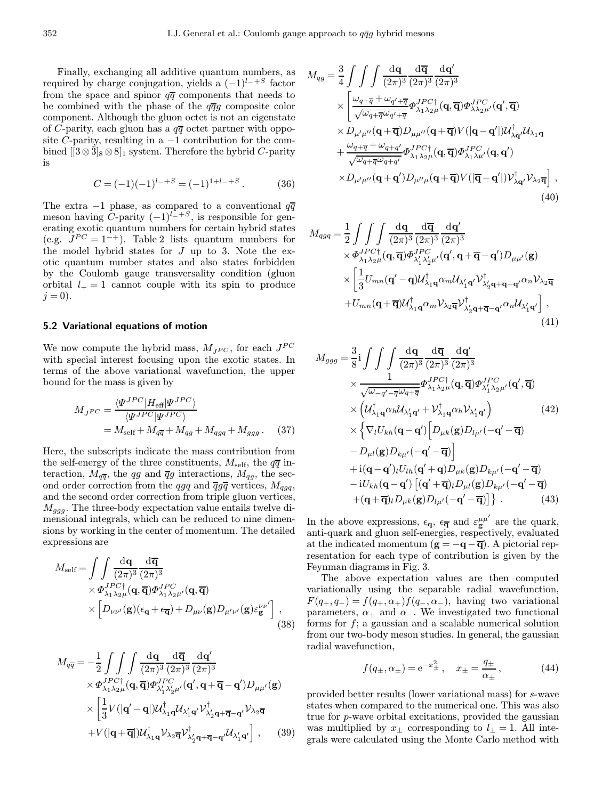Finally, exchanging all additive quantum numbers, as required by charge conjugation, yields a  $(-1)^{l-+S}$  factor from the space and spinor  $q\bar{q}$  components that needs to be combined with the phase of the  $q\overline{q}g$  composite color component. Although the gluon octet is not an eigenstate of C-parity, each gluon has a  $q\overline{q}$  octet partner with opposite C-parity, resulting in a  $-1$  contribution for the combined  $[3\otimes\overline{3}]_8\otimes8]_1$  system. Therefore the hybrid C-parity is

$$
C = (-1)(-1)^{l_-+S} = (-1)^{1+l_-+S}.
$$
 (36)

The extra  $-1$  phase, as compared to a conventional  $q\bar{q}$ meson having  $\overline{C}$ -parity  $(-1)^{l^-+S}$ , is responsible for generating exotic quantum numbers for certain hybrid states (e.g.  $\tilde{J}^{PC} = 1^{-+}$ ). Table 2 lists quantum numbers for the model hybrid states for  $J$  up to 3. Note the exotic quantum number states and also states forbidden by the Coulomb gauge transversality condition (gluon orbital  $l_{+} = 1$  cannot couple with its spin to produce  $j = 0$ ).

### 5.2 Variational equations of motion

We now compute the hybrid mass,  $M_{IPC}$ , for each  $J^{PC}$ with special interest focusing upon the exotic states. In terms of the above variational wavefunction, the upper bound for the mass is given by

$$
M_{JPC} = \frac{\langle \Psi^{JPC} | H_{\text{eff}} | \Psi^{JPC} \rangle}{\langle \Psi^{JPC} | \Psi^{JPC} \rangle} = M_{\text{self}} + M_{q\overline{q}} + M_{qg} + M_{qgq} + M_{ggg} . \quad (37)
$$

Here, the subscripts indicate the mass contribution from the self-energy of the three constituents,  $M_{\text{self}}$ , the  $q\overline{q}$  interaction,  $M_{q\overline{q}}$ , the qg and  $\overline{q}g$  interactions,  $M_{qg}$ , the second order correction from the qgq and  $\overline{q}g\overline{q}$  vertices,  $M_{qgg}$ , and the second order correction from triple gluon vertices,  $M_{ggg}$ . The three-body expectation value entails twelve dimensional integrals, which can be reduced to nine dimensions by working in the center of momentum. The detailed expressions are

$$
M_{\text{self}} = \int \int \frac{\mathrm{d}\mathbf{q}}{(2\pi)^3} \frac{\mathrm{d}\overline{\mathbf{q}}}{(2\pi)^3} \times \Phi_{\lambda_1 \lambda_2 \mu}^{JPC\dagger}(\mathbf{q}, \overline{\mathbf{q}}) \Phi_{\lambda_1 \lambda_2 \mu'}^{JPC}(\mathbf{q}, \overline{\mathbf{q}}) \times \left[ D_{\nu \nu'}(\mathbf{g}) (\epsilon_{\mathbf{q}} + \epsilon_{\overline{\mathbf{q}}}) + D_{\mu \nu}(\mathbf{g}) D_{\mu' \nu'}(\mathbf{g}) \varepsilon_{\mathbf{g}}^{\nu \nu'} \right],
$$
\n(38)

$$
M_{q\overline{q}} = -\frac{1}{2} \int \int \int \frac{\mathrm{d}\mathbf{q}}{(2\pi)^3} \frac{\mathrm{d}\mathbf{q}}{(2\pi)^3} \frac{\mathrm{d}\mathbf{q}'}{(2\pi)^3} \times \Phi_{\lambda_1 \lambda_2 \mu}^{JPC\dagger}(\mathbf{q}, \overline{\mathbf{q}}) \Phi_{\lambda_1' \lambda_2' \mu'}^{JPC\dagger}(\mathbf{q}', \mathbf{q} + \overline{\mathbf{q}} - \mathbf{q}') D_{\mu\mu'}(\mathbf{g}) \times \left[ \frac{1}{3} V(|\mathbf{q}' - \mathbf{q}|) \mathcal{U}_{\lambda_1 \mathbf{q}}^\dagger \mathcal{U}_{\lambda_1' \mathbf{q}'} \mathcal{V}_{\lambda_2' \mathbf{q} + \overline{\mathbf{q}} - \mathbf{q}'}^\dagger \mathcal{V}_{\lambda_2 \overline{\mathbf{q}}} + V(|\mathbf{q} + \overline{\mathbf{q}}|) \mathcal{U}_{\lambda_1 \mathbf{q}}^\dagger \mathcal{V}_{\lambda_2 \overline{\mathbf{q}}} \mathcal{V}_{\lambda_2' \mathbf{q} + \overline{\mathbf{q}} - \mathbf{q}'}^\dagger \mathcal{U}_{\lambda_1' \mathbf{q}'} \right], \quad (39)
$$

$$
M_{qg} = \frac{3}{4} \int \int \int \frac{dq}{(2\pi)^3} \frac{d\mathbf{q}'}{(2\pi)^3} \frac{d\mathbf{q}'}{(2\pi)^3}
$$
  
\n
$$
\times \int \frac{\omega_{q+\overline{q}} + \omega_{q'+\overline{q}}}{\sqrt{\omega_{q+\overline{q}}\omega_{q'+\overline{q}}}} \Phi_{\lambda_1\lambda_2\mu}^{JPC\dagger}(\mathbf{q}, \overline{\mathbf{q}}) \Phi_{\lambda\lambda_2\mu'}^{JPC}(\mathbf{q}', \overline{\mathbf{q}})
$$
  
\n
$$
\times D_{\mu'\mu''}(\mathbf{q} + \overline{\mathbf{q}}) D_{\mu\mu''}(\mathbf{q} + \overline{\mathbf{q}}) V(|\mathbf{q} - \mathbf{q}'|) \mathcal{U}_{\lambda\mathbf{q}'}^{\dagger} \mathcal{U}_{\lambda_1\mathbf{q}}
$$
  
\n
$$
+ \frac{\omega_{q+\overline{q}} + \omega_{q+q'}}{\sqrt{\omega_{q+\overline{q}}\omega_{q+q'}}} \Phi_{\lambda_1\lambda_2\mu}^{JPC\dagger}(\mathbf{q}, \overline{\mathbf{q}}) \Phi_{\lambda_1\lambda\mu'}^{JPC'}(\mathbf{q}, \mathbf{q}')
$$
  
\n
$$
\times D_{\mu'\mu''}(\mathbf{q} + \mathbf{q}') D_{\mu''\mu}(\mathbf{q} + \overline{\mathbf{q}}) V(|\overline{\mathbf{q}} - \mathbf{q}'|) \mathcal{V}_{\lambda\mathbf{q}'}^{\dagger} \mathcal{V}_{\lambda_2\overline{\mathbf{q}}}\right],
$$
  
\n(40)

$$
M_{qgq} = \frac{1}{2} \int \int \int \frac{\mathrm{d}\mathbf{q}}{(2\pi)^3} \frac{\mathrm{d}\mathbf{q}}{(2\pi)^3} \frac{\mathrm{d}\mathbf{q}'}{(2\pi)^3} \times \Phi_{\lambda_1 \lambda_2 \mu}^{JPC\dagger}(\mathbf{q}, \overline{\mathbf{q}}) \Phi_{\lambda_1' \lambda_2 \mu'}^{JPC}(\mathbf{q}', \mathbf{q} + \overline{\mathbf{q}} - \mathbf{q}') D_{\mu\mu'}(\mathbf{g}) \times \left[ \frac{1}{3} U_{mn}(\mathbf{q}' - \mathbf{q}) \mathcal{U}_{\lambda_1 \mathbf{q}}^\dagger \alpha_m \mathcal{U}_{\lambda_1' \mathbf{q}'} \mathcal{V}_{\lambda_2' \mathbf{q} + \overline{\mathbf{q}} - \mathbf{q}'}^\dagger \alpha_n \mathcal{V}_{\lambda_2 \overline{\mathbf{q}}} + U_{mn}(\mathbf{q} + \overline{\mathbf{q}}) \mathcal{U}_{\lambda_1 \mathbf{q}}^\dagger \alpha_m \mathcal{V}_{\lambda_2 \overline{\mathbf{q}}} \mathcal{V}_{\lambda_2' \mathbf{q} + \overline{\mathbf{q}} - \mathbf{q}'}^\dagger \alpha_n \mathcal{U}_{\lambda_1' \mathbf{q}'}^\dagger \right],
$$
\n(41)

$$
M_{ggg} = \frac{3}{8} \mathbf{i} \int \int \int \frac{\mathrm{d}\mathbf{q}}{(2\pi)^3} \frac{\mathrm{d}\mathbf{q}}{(2\pi)^3} \frac{\mathrm{d}\mathbf{q}'}{(2\pi)^3}
$$
  
\n
$$
\times \frac{1}{\sqrt{\omega_{-q'} - \overline{q}\omega_{q+q}}} \Phi_{\lambda_1\lambda_2\mu}^{JPC\dagger}(\mathbf{q}, \overline{\mathbf{q}}) \Phi_{\lambda_1\lambda_2\mu}^{JPC}(\mathbf{q}', \overline{\mathbf{q}})
$$
  
\n
$$
\times \left( \mathcal{U}_{\lambda_1\mathbf{q}}^{\dagger} \alpha_h \mathcal{U}_{\lambda_1'\mathbf{q}'} + \mathcal{V}_{\lambda_1\mathbf{q}}^{\dagger} \alpha_h \mathcal{V}_{\lambda_1'\mathbf{q}'} \right) \qquad (42)
$$
  
\n
$$
\times \left\{ \nabla_l U_{kh}(\mathbf{q} - \mathbf{q}') \left[ D_{\mu k}(\mathbf{g}) D_{l\mu'}(-\mathbf{q}' - \overline{\mathbf{q}}) \right. \right.
$$
  
\n
$$
- D_{\mu l}(\mathbf{g}) D_{k\mu'}(-\mathbf{q}' - \overline{\mathbf{q}}) \right]
$$
  
\n
$$
+ \mathbf{i}(\mathbf{q} - \mathbf{q}')_{l} U_{lh}(\mathbf{q}' + \mathbf{q}) D_{\mu k}(\mathbf{g}) D_{k\mu'}(-\mathbf{q}' - \overline{\mathbf{q}})
$$
  
\n
$$
- \mathbf{i} U_{kh}(\mathbf{q} - \mathbf{q}') \left[ (\mathbf{q}' + \overline{\mathbf{q}})_{l} D_{\mu l}(\mathbf{g}) D_{k\mu'}(-\mathbf{q}' - \overline{\mathbf{q}}) \right. \right. \qquad (43)
$$

In the above expressions,  $\epsilon_{\mathbf{q}}, \epsilon_{\overline{\mathbf{q}}}$  and  $\varepsilon_{\mathbf{g}}^{\mu\mu'}$  are the quark, anti-quark and gluon self-energies, respectively, evaluated at the indicated momentum  $(g = -q - \overline{q})$ . A pictorial representation for each type of contribution is given by the Feynman diagrams in Fig. 3.

The above expectation values are then computed variationally using the separable radial wavefunction,  $F(q_+, q_-) = f(q_+, \alpha_+) f(q_-, \alpha_-)$ , having two variational parameters,  $\alpha_+$  and  $\alpha_-$ . We investigated two functional forms for f; a gaussian and a scalable numerical solution from our two-body meson studies. In general, the gaussian radial wavefunction,

$$
f(q_{\pm}, \alpha_{\pm}) = e^{-x_{\pm}^2}, \quad x_{\pm} = \frac{q_{\pm}}{\alpha_{\pm}},
$$
 (44)

provided better results (lower variational mass) for s-wave states when compared to the numerical one. This was also true for p-wave orbital excitations, provided the gaussian was multiplied by  $x_{\pm}$  corresponding to  $l_{\pm} = 1$ . All integrals were calculated using the Monte Carlo method with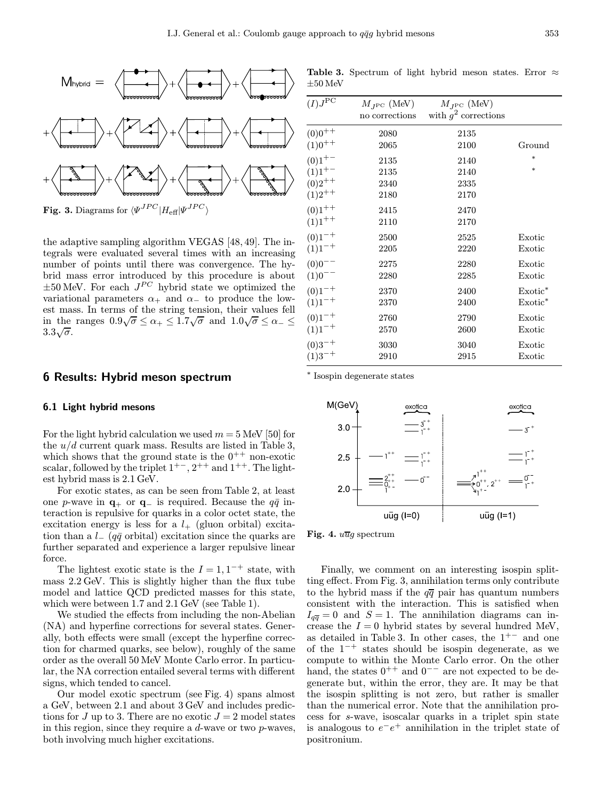$\pm 50$  MeV



the adaptive sampling algorithm VEGAS [48, 49]. The integrals were evaluated several times with an increasing number of points until there was convergence. The hybrid mass error introduced by this procedure is about  $\pm 50$  MeV. For each  $J^{PC}$  hybrid state we optimized the variational parameters  $\alpha_+$  and  $\alpha_-$  to produce the lowest mass. In terms of the string tension, their values fell est mass. In terms of the string tension, their values fell<br>in the ranges  $0.9\sqrt{\sigma} \le \alpha_+ \le 1.7\sqrt{\sigma}$  and  $1.0\sqrt{\sigma} \le \alpha_- \le$ m ule<br>3.3 $\sqrt{\sigma}$ .

# $(I)J<sup>PC</sup>$   $M_{J<sup>PC</sup>}$  (MeV)  $M_{J<sup>PC</sup>}$  (MeV) no corrections with  $g^2$  corrections  $(0)0^{++}$  2080 2135  $(1)0^{++}$  2065 2100 Ground  $(0)1^{+-}$  2135 2140  $(1)1^{+-}$  2135 2140  $(0)2^{++}$  2340 2335  $(1)2^{++}$  2180 2170  $(0)1^{++}$  2415 2470  $(1)1^{++}$  2110 2170  $(0)1^{-+}$  2500 2525 Exotic (1)1−<sup>+</sup> 2205 2220 Exotic (0)0−− 2275 2280 Exotic (1)0−− 2280 2285 Exotic  $(0)1^{-+}$  2370 2400 Exotic<sup>\*</sup>  $(1)1^{-+}$  2370 2400 Exotic  $(0)1^{-+}$  2760 2790 Exotic (1)1−<sup>+</sup> 2570 2600 Exotic  $(0)3^{-+}$  3030 3040 Exotic  $(1)3^{-+}$  2910 2915 Exotic

Table 3. Spectrum of light hybrid meson states. Error  $\approx$ 

## 6 Results: Hybrid meson spectrum

### 6.1 Light hybrid mesons

For the light hybrid calculation we used  $m = 5$  MeV [50] for the  $u/d$  current quark mass. Results are listed in Table 3. which shows that the ground state is the  $0^{++}$  non-exotic scalar, followed by the triplet  $1^{+-}$ ,  $2^{++}$  and  $1^{++}$ . The lightest hybrid mass is 2.1 GeV.

For exotic states, as can be seen from Table 2, at least one p-wave in  $\mathbf{q}_+$  or  $\mathbf{q}_-$  is required. Because the  $q\bar{q}$  interaction is repulsive for quarks in a color octet state, the excitation energy is less for a  $l_{+}$  (gluon orbital) excitation than a  $l_{-}$  (q $\bar{q}$  orbital) excitation since the quarks are further separated and experience a larger repulsive linear force.

The lightest exotic state is the  $I = 1, 1^{-+}$  state, with mass 2.2 GeV. This is slightly higher than the flux tube model and lattice QCD predicted masses for this state, which were between 1.7 and 2.1 GeV (see Table 1).

We studied the effects from including the non-Abelian (NA) and hyperfine corrections for several states. Generally, both effects were small (except the hyperfine correction for charmed quarks, see below), roughly of the same order as the overall 50 MeV Monte Carlo error. In particular, the NA correction entailed several terms with different signs, which tended to cancel.

Our model exotic spectrum (see Fig. 4) spans almost a GeV, between 2.1 and about 3 GeV and includes predictions for J up to 3. There are no exotic  $J = 2$  model states in this region, since they require a  $d$ -wave or two  $p$ -waves, both involving much higher excitations.

<sup>∗</sup> Isospin degenerate states



Fig. 4.  $u\overline{u}g$  spectrum

Finally, we comment on an interesting isospin splitting effect. From Fig. 3, annihilation terms only contribute to the hybrid mass if the  $q\overline{q}$  pair has quantum numbers consistent with the interaction. This is satisfied when  $I_{q\overline{q}} = 0$  and  $S = 1$ . The annihilation diagrams can increase the  $I = 0$  hybrid states by several hundred MeV, as detailed in Table 3. In other cases, the  $1^{+-}$  and one of the 1<sup>−</sup><sup>+</sup> states should be isospin degenerate, as we compute to within the Monte Carlo error. On the other hand, the states  $0^{++}$  and  $0^{--}$  are not expected to be degenerate but, within the error, they are. It may be that the isospin splitting is not zero, but rather is smaller than the numerical error. Note that the annihilation process for s-wave, isoscalar quarks in a triplet spin state is analogous to  $e^-e^+$  annihilation in the triplet state of positronium.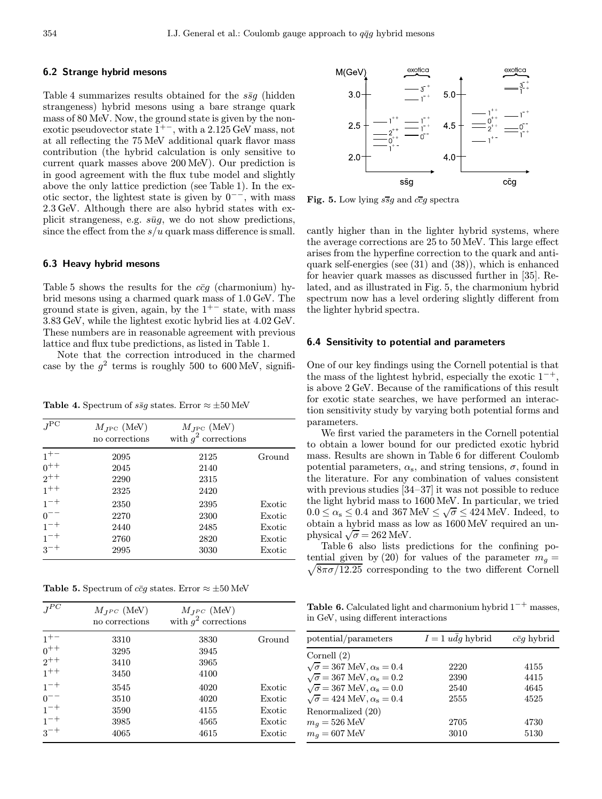### 6.2 Strange hybrid mesons

Table 4 summarizes results obtained for the  $s\bar{s}q$  (hidden strangeness) hybrid mesons using a bare strange quark mass of 80 MeV. Now, the ground state is given by the nonexotic pseudovector state  $1^{+-}$ , with a 2.125 GeV mass, not at all reflecting the 75 MeV additional quark flavor mass contribution (the hybrid calculation is only sensitive to current quark masses above 200 MeV). Our prediction is in good agreement with the flux tube model and slightly above the only lattice prediction (see Table 1). In the exotic sector, the lightest state is given by 0−−, with mass 2.3 GeV. Although there are also hybrid states with explicit strangeness, e.g.  $s\bar{u}g$ , we do not show predictions, since the effect from the  $s/u$  quark mass difference is small.

### 6.3 Heavy hybrid mesons

Table 5 shows the results for the  $c\bar{c}g$  (charmonium) hybrid mesons using a charmed quark mass of 1.0 GeV. The ground state is given, again, by the  $1^{+-}$  state, with mass 3.83 GeV, while the lightest exotic hybrid lies at 4.02 GeV. These numbers are in reasonable agreement with previous lattice and flux tube predictions, as listed in Table 1.

Note that the correction introduced in the charmed case by the  $q^2$  terms is roughly 500 to 600 MeV, signifi-

Table 4. Spectrum of  $s\bar{s}q$  states. Error  $\approx \pm 50$  MeV

| $M_{JPC}$ (MeV)<br>$M_{JPC}$ (MeV)<br>with $g^2$ corrections<br>no corrections<br>$1^{+-}$<br>Ground<br>2095<br>2125<br>$0^{++}$<br>2045<br>2140<br>$2^{++}$<br>2315<br>2290<br>$1^{++}$<br>2325<br>2420<br>$1^{-+}$<br>2395<br>2350<br>Exotic<br>2300<br>2270<br>Exotic<br>$1^{-+}$<br>2485<br>2440<br>Exotic<br>2820<br>2760<br>Exotic<br>2995<br>3030<br>Exotic |              |  |  |
|--------------------------------------------------------------------------------------------------------------------------------------------------------------------------------------------------------------------------------------------------------------------------------------------------------------------------------------------------------------------|--------------|--|--|
|                                                                                                                                                                                                                                                                                                                                                                    | $I^{\rm PC}$ |  |  |
|                                                                                                                                                                                                                                                                                                                                                                    |              |  |  |
|                                                                                                                                                                                                                                                                                                                                                                    |              |  |  |
|                                                                                                                                                                                                                                                                                                                                                                    |              |  |  |
|                                                                                                                                                                                                                                                                                                                                                                    |              |  |  |
|                                                                                                                                                                                                                                                                                                                                                                    |              |  |  |
|                                                                                                                                                                                                                                                                                                                                                                    | $0^{--}$     |  |  |
|                                                                                                                                                                                                                                                                                                                                                                    |              |  |  |
|                                                                                                                                                                                                                                                                                                                                                                    | $1^{-+}$     |  |  |
|                                                                                                                                                                                                                                                                                                                                                                    | $3^{-+}$     |  |  |

Table 5. Spectrum of  $c\bar{c}q$  states. Error  $\approx \pm 50$  MeV

| $J^{PC}$ | $M_{JPC}$ (MeV)<br>no corrections | $M_{JPC}$ (MeV)<br>with $q^2$ corrections |        |
|----------|-----------------------------------|-------------------------------------------|--------|
| $1^{+-}$ | 3310                              | 3830                                      | Ground |
| $0^{++}$ | 3295                              | 3945                                      |        |
| $2^{++}$ | 3410                              | 3965                                      |        |
| $1^{++}$ | 3450                              | 4100                                      |        |
| $1^{-+}$ | 3545                              | 4020                                      | Exotic |
| $0^{--}$ | 3510                              | 4020                                      | Exotic |
| $1^{-+}$ | 3590                              | 4155                                      | Exotic |
| $1^{-+}$ | 3985                              | 4565                                      | Exotic |
| $3^{-+}$ | 4065                              | 4615                                      | Exotic |



Fig. 5. Low lying  $s\overline{s}g$  and  $c\overline{c}g$  spectra

cantly higher than in the lighter hybrid systems, where the average corrections are 25 to 50 MeV. This large effect arises from the hyperfine correction to the quark and antiquark self-energies (see (31) and (38)), which is enhanced for heavier quark masses as discussed further in [35]. Related, and as illustrated in Fig. 5, the charmonium hybrid spectrum now has a level ordering slightly different from the lighter hybrid spectra.

### 6.4 Sensitivity to potential and parameters

One of our key findings using the Cornell potential is that the mass of the lightest hybrid, especially the exotic  $1^{-+}$ , is above 2 GeV. Because of the ramifications of this result for exotic state searches, we have performed an interaction sensitivity study by varying both potential forms and parameters.

We first varied the parameters in the Cornell potential to obtain a lower bound for our predicted exotic hybrid mass. Results are shown in Table 6 for different Coulomb potential parameters,  $\alpha_s$ , and string tensions,  $\sigma$ , found in the literature. For any combination of values consistent with previous studies [34–37] it was not possible to reduce the light hybrid mass to 1600 MeV. In particular, we tried  $0.0 \le \alpha_s \le 0.4$  and  $367 \text{ MeV} \le \sqrt{\sigma} \le 424 \text{ MeV}$ . Indeed, to obtain a hybrid mass as low as 1600 MeV required an unphysical  $\sqrt{\sigma} = 262$  MeV.

Table 6 also lists predictions for the confining potential given by (20) for values of the parameter  $m<sub>g</sub> =$  $\sqrt{8\pi\sigma/12.25}$  corresponding to the two different Cornell

Table 6. Calculated light and charmonium hybrid  $1^{-+}$  masses, in GeV, using different interactions

| potential/parameters                        | $I=1 u\bar{d}g$ hybrid | $c\bar{c}q$ hybrid |
|---------------------------------------------|------------------------|--------------------|
| Cornell $(2)$                               |                        |                    |
| $\sqrt{\sigma} = 367$ MeV, $\alpha_s = 0.4$ | 2220                   | 4155               |
| $\sqrt{\sigma} = 367$ MeV, $\alpha_s = 0.2$ | 2390                   | 4415               |
| $\sqrt{\sigma} = 367$ MeV, $\alpha_s = 0.0$ | 2540                   | 4645               |
| $\sqrt{\sigma} = 424$ MeV, $\alpha_s = 0.4$ | 2555                   | 4525               |
| Renormalized (20)                           |                        |                    |
| $m_g = 526$ MeV                             | 2705                   | 4730               |
| $m_q = 607$ MeV                             | 3010                   | 5130               |
|                                             |                        |                    |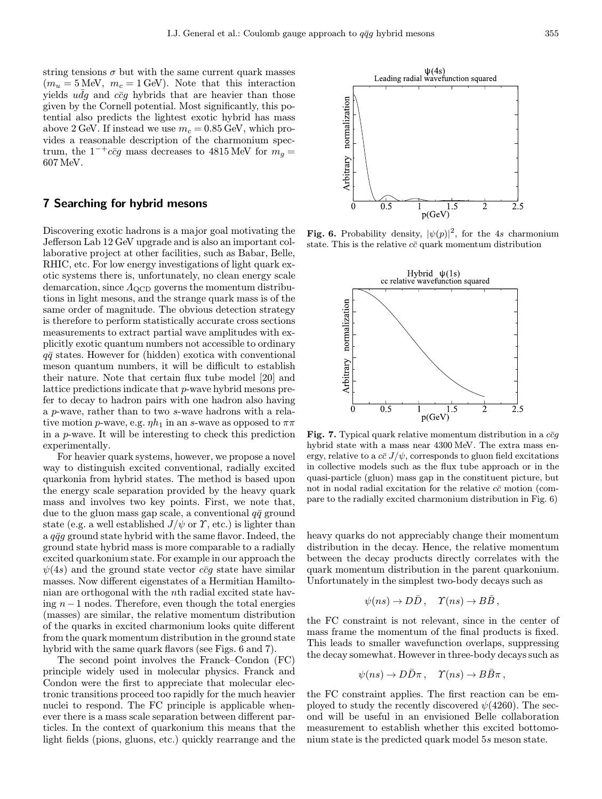string tensions  $\sigma$  but with the same current quark masses  $(m_u = 5 \text{ MeV}, m_c = 1 \text{ GeV})$ . Note that this interaction yields  $u\bar{d}g$  and  $c\bar{c}g$  hybrids that are heavier than those given by the Cornell potential. Most significantly, this potential also predicts the lightest exotic hybrid has mass above 2 GeV. If instead we use  $m_c = 0.85$  GeV, which provides a reasonable description of the charmonium spectrum, the  $1^{-+}c\bar{c}q$  mass decreases to 4815 MeV for  $m_q =$ 607 MeV.

# 7 Searching for hybrid mesons

Discovering exotic hadrons is a major goal motivating the Jefferson Lab 12 GeV upgrade and is also an important collaborative project at other facilities, such as Babar, Belle, RHIC, etc. For low energy investigations of light quark exotic systems there is, unfortunately, no clean energy scale demarcation, since  $\Lambda_{\text{QCD}}$  governs the momentum distributions in light mesons, and the strange quark mass is of the same order of magnitude. The obvious detection strategy is therefore to perform statistically accurate cross sections measurements to extract partial wave amplitudes with explicitly exotic quantum numbers not accessible to ordinary  $q\bar{q}$  states. However for (hidden) exotica with conventional meson quantum numbers, it will be difficult to establish their nature. Note that certain flux tube model [20] and lattice predictions indicate that p-wave hybrid mesons prefer to decay to hadron pairs with one hadron also having a p-wave, rather than to two s-wave hadrons with a relative motion p-wave, e.g.  $\eta h_1$  in an s-wave as opposed to  $\pi\pi$ in a p-wave. It will be interesting to check this prediction experimentally.

For heavier quark systems, however, we propose a novel way to distinguish excited conventional, radially excited quarkonia from hybrid states. The method is based upon the energy scale separation provided by the heavy quark mass and involves two key points. First, we note that, due to the gluon mass gap scale, a conventional  $q\bar{q}$  ground state (e.g. a well established  $J/\psi$  or  $\Upsilon$ , etc.) is lighter than a  $q\bar{q}q$  ground state hybrid with the same flavor. Indeed, the ground state hybrid mass is more comparable to a radially excited quarkonium state. For example in our approach the  $\psi(4s)$  and the ground state vector  $c\bar{c}q$  state have similar masses. Now different eigenstates of a Hermitian Hamiltonian are orthogonal with the nth radial excited state having  $n-1$  nodes. Therefore, even though the total energies (masses) are similar, the relative momentum distribution of the quarks in excited charmonium looks quite different from the quark momentum distribution in the ground state hybrid with the same quark flavors (see Figs. 6 and 7).

The second point involves the Franck–Condon (FC) principle widely used in molecular physics. Franck and Condon were the first to appreciate that molecular electronic transitions proceed too rapidly for the much heavier nuclei to respond. The FC principle is applicable whenever there is a mass scale separation between different particles. In the context of quarkonium this means that the light fields (pions, gluons, etc.) quickly rearrange and the

 $\psi(4s)$ <br>Leading radial wavefunction squared Arbitrary normalization  $0.5$  $2.5$ 1.5 2  $p(GeV)$ 

Fig. 6. Probability density,  $|\psi(p)|^2$ , for the 4s charmonium state. This is the relative  $c\bar{c}$  quark momentum distribution



Fig. 7. Typical quark relative momentum distribution in a  $c\bar{c}q$ hybrid state with a mass near 4300 MeV. The extra mass energy, relative to a  $c\bar{c} J/\psi$ , corresponds to gluon field excitations in collective models such as the flux tube approach or in the quasi-particle (gluon) mass gap in the constituent picture, but not in nodal radial excitation for the relative  $c\bar{c}$  motion (compare to the radially excited charmonium distribution in Fig. 6)

heavy quarks do not appreciably change their momentum distribution in the decay. Hence, the relative momentum between the decay products directly correlates with the quark momentum distribution in the parent quarkonium. Unfortunately in the simplest two-body decays such as

$$
\psi(ns) \to D\bar{D}
$$
,  $\Upsilon(ns) \to B\bar{B}$ ,

the FC constraint is not relevant, since in the center of mass frame the momentum of the final products is fixed. This leads to smaller wavefunction overlaps, suppressing the decay somewhat. However in three-body decays such as

$$
\psi(ns) \to D\bar{D}\pi
$$
,  $\Upsilon(ns) \to B\bar{B}\pi$ ,

the FC constraint applies. The first reaction can be employed to study the recently discovered  $\psi$ (4260). The second will be useful in an envisioned Belle collaboration measurement to establish whether this excited bottomonium state is the predicted quark model 5s meson state.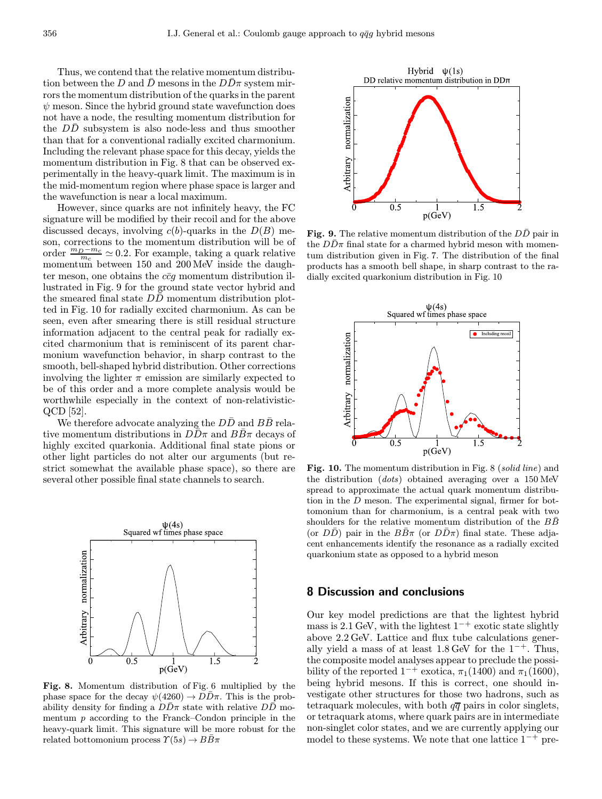Thus, we contend that the relative momentum distribution between the D and  $\bar{D}$  mesons in the  $D\bar{D}\pi$  system mirrors the momentum distribution of the quarks in the parent  $\psi$  meson. Since the hybrid ground state wavefunction does not have a node, the resulting momentum distribution for the  $DD$  subsystem is also node-less and thus smoother than that for a conventional radially excited charmonium. Including the relevant phase space for this decay, yields the momentum distribution in Fig. 8 that can be observed experimentally in the heavy-quark limit. The maximum is in the mid-momentum region where phase space is larger and the wavefunction is near a local maximum.

However, since quarks are not infinitely heavy, the FC signature will be modified by their recoil and for the above discussed decays, involving  $c(b)$ -quarks in the  $D(B)$  meson, corrections to the momentum distribution will be of order  $\frac{m_D - m_c}{m_c} \simeq 0.2$ . For example, taking a quark relative momentum between 150 and 200 MeV inside the daughter meson, one obtains the  $c\bar{c}g$  momentum distribution illustrated in Fig. 9 for the ground state vector hybrid and the smeared final state  $D\overline{D}$  momentum distribution plotted in Fig. 10 for radially excited charmonium. As can be seen, even after smearing there is still residual structure information adjacent to the central peak for radially excited charmonium that is reminiscent of its parent charmonium wavefunction behavior, in sharp contrast to the smooth, bell-shaped hybrid distribution. Other corrections involving the lighter  $\pi$  emission are similarly expected to be of this order and a more complete analysis would be worthwhile especially in the context of non-relativistic-QCD [52].

We therefore advocate analyzing the  $D\bar{D}$  and  $B\bar{B}$  relative momentum distributions in  $D\bar{D}\pi$  and  $B\bar{B}\pi$  decays of highly excited quarkonia. Additional final state pions or other light particles do not alter our arguments (but restrict somewhat the available phase space), so there are several other possible final state channels to search.



Fig. 8. Momentum distribution of Fig. 6 multiplied by the phase space for the decay  $\psi(4260) \rightarrow DD\pi$ . This is the probability density for finding a  $D\bar{D}\pi$  state with relative  $D\bar{D}$  momentum p according to the Franck–Condon principle in the heavy-quark limit. This signature will be more robust for the related bottomonium process  $\Upsilon(5s) \to BB\pi$ 



Fig. 9. The relative momentum distribution of the  $DD$  pair in the  $D\bar{D}\pi$  final state for a charmed hybrid meson with momentum distribution given in Fig. 7. The distribution of the final products has a smooth bell shape, in sharp contrast to the radially excited quarkonium distribution in Fig. 10



Fig. 10. The momentum distribution in Fig. 8 (solid line) and the distribution (dots) obtained averaging over a 150 MeV spread to approximate the actual quark momentum distribution in the  $D$  meson. The experimental signal, firmer for bottomonium than for charmonium, is a central peak with two shoulders for the relative momentum distribution of the  $B\bar{B}$ (or  $D\bar{D}$ ) pair in the  $B\bar{B}\pi$  (or  $D\bar{D}\pi$ ) final state. These adjacent enhancements identify the resonance as a radially excited quarkonium state as opposed to a hybrid meson

## 8 Discussion and conclusions

Our key model predictions are that the lightest hybrid mass is 2.1 GeV, with the lightest  $1^{-+}$  exotic state slightly above 2.2 GeV. Lattice and flux tube calculations generally yield a mass of at least  $1.8 \text{ GeV}$  for the  $1^{-+}$ . Thus, the composite model analyses appear to preclude the possibility of the reported  $1^{-+}$  exotica,  $\pi_1(1400)$  and  $\pi_1(1600)$ , being hybrid mesons. If this is correct, one should investigate other structures for those two hadrons, such as tetraquark molecules, with both  $q\overline{q}$  pairs in color singlets, or tetraquark atoms, where quark pairs are in intermediate non-singlet color states, and we are currently applying our model to these systems. We note that one lattice  $1^{-+}$  pre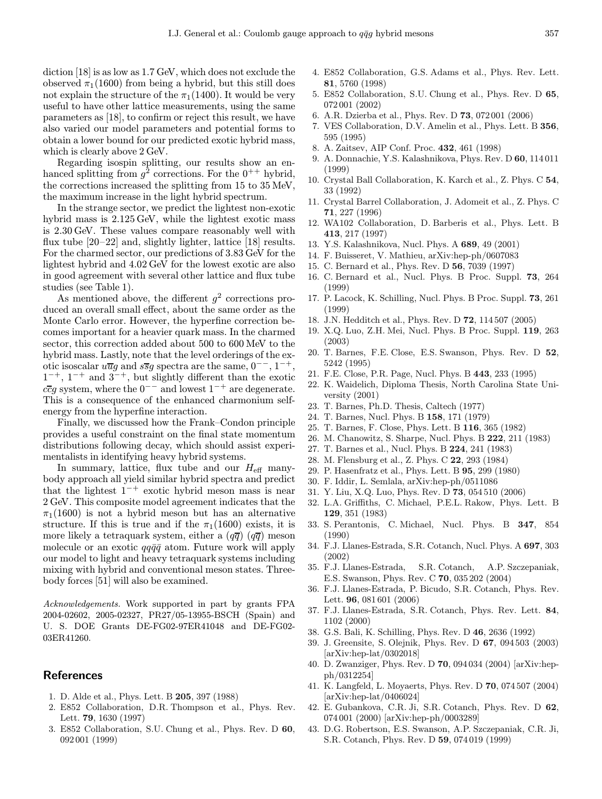diction [18] is as low as 1.7 GeV, which does not exclude the observed  $\pi_1(1600)$  from being a hybrid, but this still does not explain the structure of the  $\pi_1(1400)$ . It would be very useful to have other lattice measurements, using the same parameters as [18], to confirm or reject this result, we have also varied our model parameters and potential forms to obtain a lower bound for our predicted exotic hybrid mass, which is clearly above 2 GeV.

Regarding isospin splitting, our results show an enhanced splitting from  $g^2$  corrections. For the  $0^{++}$  hybrid, the corrections increased the splitting from 15 to 35 MeV, the maximum increase in the light hybrid spectrum.

In the strange sector, we predict the lightest non-exotic hybrid mass is 2.125 GeV, while the lightest exotic mass is 2.30 GeV. These values compare reasonably well with flux tube [20–22] and, slightly lighter, lattice [18] results. For the charmed sector, our predictions of 3.83 GeV for the lightest hybrid and 4.02 GeV for the lowest exotic are also in good agreement with several other lattice and flux tube studies (see Table 1).

As mentioned above, the different  $q^2$  corrections produced an overall small effect, about the same order as the Monte Carlo error. However, the hyperfine correction becomes important for a heavier quark mass. In the charmed sector, this correction added about 500 to 600 MeV to the hybrid mass. Lastly, note that the level orderings of the exotic isoscalar  $u\overline{u}g$  and  $s\overline{s}g$  spectra are the same,  $0^{--}$ ,  $1^{-+}$ ,  $1^{-+}$ ,  $1^{-+}$  and  $3^{-+}$ , but slightly different than the exotic  $c\overline{c}g$  system, where the  $0^{--}$  and lowest  $1^{-+}$  are degenerate. This is a consequence of the enhanced charmonium selfenergy from the hyperfine interaction.

Finally, we discussed how the Frank–Condon principle provides a useful constraint on the final state momentum distributions following decay, which should assist experimentalists in identifying heavy hybrid systems.

In summary, lattice, flux tube and our  $H_{\text{eff}}$  manybody approach all yield similar hybrid spectra and predict that the lightest  $1^{-+}$  exotic hybrid meson mass is near 2 GeV. This composite model agreement indicates that the  $\pi_1(1600)$  is not a hybrid meson but has an alternative structure. If this is true and if the  $\pi_1(1600)$  exists, it is more likely a tetraquark system, either a  $(q\overline{q})$   $(q\overline{q})$  meson molecule or an exotic  $qq\bar{q}\bar{q}$  atom. Future work will apply our model to light and heavy tetraquark systems including mixing with hybrid and conventional meson states. Threebody forces [51] will also be examined.

Acknowledgements. Work supported in part by grants FPA 2004-02602, 2005-02327, PR27/05-13955-BSCH (Spain) and U. S. DOE Grants DE-FG02-97ER41048 and DE-FG02- 03ER41260.

### References

- 1. D. Alde et al., Phys. Lett. B 205, 397 (1988)
- 2. E852 Collaboration, D.R. Thompson et al., Phys. Rev. Lett. 79, 1630 (1997)
- 3. E852 Collaboration, S.U. Chung et al., Phys. Rev. D 60, 092 001 (1999)
- 4. E852 Collaboration, G.S. Adams et al., Phys. Rev. Lett. 81, 5760 (1998)
- 5. E852 Collaboration, S.U. Chung et al., Phys. Rev. D 65, 072 001 (2002)
- 6. A.R. Dzierba et al., Phys. Rev. D 73, 072 001 (2006)
- 7. VES Collaboration, D.V. Amelin et al., Phys. Lett. B 356, 595 (1995)
- 8. A. Zaitsev, AIP Conf. Proc. 432, 461 (1998)
- 9. A. Donnachie, Y.S. Kalashnikova, Phys. Rev. D 60, 114 011 (1999)
- 10. Crystal Ball Collaboration, K. Karch et al., Z. Phys. C 54, 33 (1992)
- 11. Crystal Barrel Collaboration, J. Adomeit et al., Z. Phys. C 71, 227 (1996)
- 12. WA102 Collaboration, D. Barberis et al., Phys. Lett. B 413, 217 (1997)
- 13. Y.S. Kalashnikova, Nucl. Phys. A 689, 49 (2001)
- 14. F. Buisseret, V. Mathieu, arXiv:hep-ph/0607083
- 15. C. Bernard et al., Phys. Rev. D 56, 7039 (1997)
- 16. C. Bernard et al., Nucl. Phys. B Proc. Suppl. 73, 264 (1999)
- 17. P. Lacock, K. Schilling, Nucl. Phys. B Proc. Suppl. 73, 261 (1999)
- 18. J.N. Hedditch et al., Phys. Rev. D 72, 114 507 (2005)
- 19. X.Q. Luo, Z.H. Mei, Nucl. Phys. B Proc. Suppl. 119, 263 (2003)
- 20. T. Barnes, F.E. Close, E.S. Swanson, Phys. Rev. D 52, 5242 (1995)
- 21. F.E. Close, P.R. Page, Nucl. Phys. B 443, 233 (1995)
- 22. K. Waidelich, Diploma Thesis, North Carolina State University (2001)
- 23. T. Barnes, Ph.D. Thesis, Caltech (1977)
- 24. T. Barnes, Nucl. Phys. B 158, 171 (1979)
- 25. T. Barnes, F. Close, Phys. Lett. B 116, 365 (1982)
- 26. M. Chanowitz, S. Sharpe, Nucl. Phys. B 222, 211 (1983)
- 27. T. Barnes et al., Nucl. Phys. B 224, 241 (1983)
- 28. M. Flensburg et al., Z. Phys. C 22, 293 (1984)
- 29. P. Hasenfratz et al., Phys. Lett. B 95, 299 (1980)
- 30. F. Iddir, L. Semlala, arXiv:hep-ph/0511086
- 31. Y. Liu, X.Q. Luo, Phys. Rev. D 73, 054 510 (2006)
- 32. L.A. Griffiths, C. Michael, P.E.L. Rakow, Phys. Lett. B 129, 351 (1983)
- 33. S. Perantonis, C. Michael, Nucl. Phys. B 347, 854 (1990)
- 34. F.J. Llanes-Estrada, S.R. Cotanch, Nucl. Phys. A 697, 303 (2002)
- 35. F.J. Llanes-Estrada, S.R. Cotanch, A.P. Szczepaniak, E.S. Swanson, Phys. Rev. C 70, 035 202 (2004)
- 36. F.J. Llanes-Estrada, P. Bicudo, S.R. Cotanch, Phys. Rev. Lett. 96, 081 601 (2006)
- 37. F.J. Llanes-Estrada, S.R. Cotanch, Phys. Rev. Lett. 84, 1102 (2000)
- 38. G.S. Bali, K. Schilling, Phys. Rev. D 46, 2636 (1992)
- 39. J. Greensite, S. Olejnik, Phys. Rev. D 67, 094 503 (2003) [arXiv:hep-lat/0302018]
- 40. D. Zwanziger, Phys. Rev. D 70, 094 034 (2004) [arXiv:hepph/0312254]
- 41. K. Langfeld, L. Moyaerts, Phys. Rev. D 70, 074 507 (2004) [arXiv:hep-lat/0406024]
- 42. E. Gubankova, C.R. Ji, S.R. Cotanch, Phys. Rev. D 62, 074 001 (2000) [arXiv:hep-ph/0003289]
- 43. D.G. Robertson, E.S. Swanson, A.P. Szczepaniak, C.R. Ji, S.R. Cotanch, Phys. Rev. D 59, 074 019 (1999)